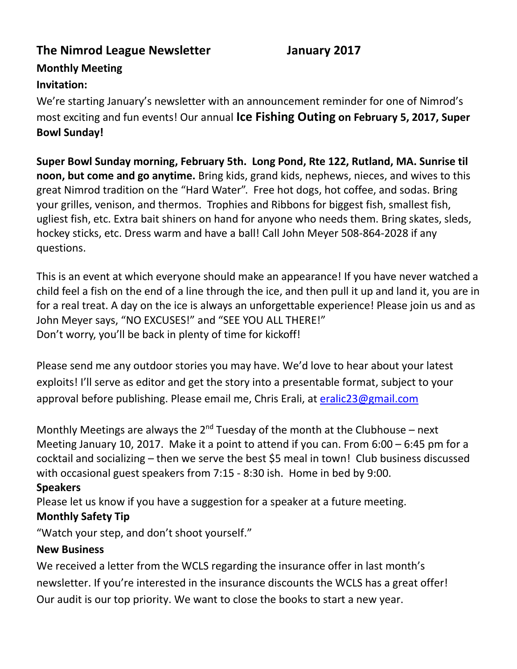## **The Nimrod League Newsletter January 2017**

## **Monthly Meeting Invitation:**

We're starting January's newsletter with an announcement reminder for one of Nimrod's most exciting and fun events! Our annual **Ice Fishing Outing on February 5, 2017, Super Bowl Sunday!**

**Super Bowl Sunday morning, February 5th. Long Pond, Rte 122, Rutland, MA. Sunrise til noon, but come and go anytime.** Bring kids, grand kids, nephews, nieces, and wives to this great Nimrod tradition on the "Hard Water". Free hot dogs, hot coffee, and sodas. Bring your grilles, venison, and thermos. Trophies and Ribbons for biggest fish, smallest fish, ugliest fish, etc. Extra bait shiners on hand for anyone who needs them. Bring skates, sleds, hockey sticks, etc. Dress warm and have a ball! Call John Meyer 508-864-2028 if any questions.

This is an event at which everyone should make an appearance! If you have never watched a child feel a fish on the end of a line through the ice, and then pull it up and land it, you are in for a real treat. A day on the ice is always an unforgettable experience! Please join us and as John Meyer says, "NO EXCUSES!" and "SEE YOU ALL THERE!" Don't worry, you'll be back in plenty of time for kickoff!

Please send me any outdoor stories you may have. We'd love to hear about your latest exploits! I'll serve as editor and get the story into a presentable format, subject to your approval before publishing. Please email me, Chris Erali, at [eralic23@gmail.com](mailto:eralic23@gmail.com)

Monthly Meetings are always the  $2^{nd}$  Tuesday of the month at the Clubhouse – next Meeting January 10, 2017. Make it a point to attend if you can. From 6:00 – 6:45 pm for a cocktail and socializing – then we serve the best \$5 meal in town! Club business discussed with occasional guest speakers from 7:15 - 8:30 ish. Home in bed by 9:00. **Speakers**

Please let us know if you have a suggestion for a speaker at a future meeting.

## **Monthly Safety Tip**

"Watch your step, and don't shoot yourself."

## **New Business**

We received a letter from the WCLS regarding the insurance offer in last month's newsletter. If you're interested in the insurance discounts the WCLS has a great offer! Our audit is our top priority. We want to close the books to start a new year.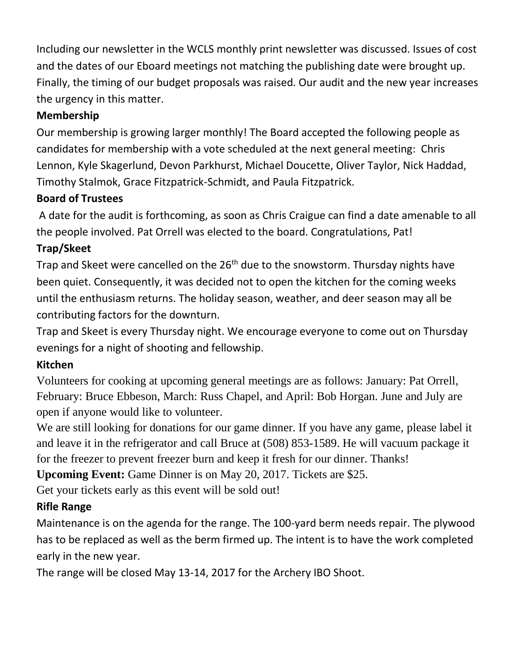Including our newsletter in the WCLS monthly print newsletter was discussed. Issues of cost and the dates of our Eboard meetings not matching the publishing date were brought up. Finally, the timing of our budget proposals was raised. Our audit and the new year increases the urgency in this matter.

# **Membership**

Our membership is growing larger monthly! The Board accepted the following people as candidates for membership with a vote scheduled at the next general meeting: Chris Lennon, Kyle Skagerlund, Devon Parkhurst, Michael Doucette, Oliver Taylor, Nick Haddad, Timothy Stalmok, Grace Fitzpatrick-Schmidt, and Paula Fitzpatrick.

## **Board of Trustees**

A date for the audit is forthcoming, as soon as Chris Craigue can find a date amenable to all the people involved. Pat Orrell was elected to the board. Congratulations, Pat!

# **Trap/Skeet**

Trap and Skeet were cancelled on the 26<sup>th</sup> due to the snowstorm. Thursday nights have been quiet. Consequently, it was decided not to open the kitchen for the coming weeks until the enthusiasm returns. The holiday season, weather, and deer season may all be contributing factors for the downturn.

Trap and Skeet is every Thursday night. We encourage everyone to come out on Thursday evenings for a night of shooting and fellowship.

## **Kitchen**

Volunteers for cooking at upcoming general meetings are as follows: January: Pat Orrell, February: Bruce Ebbeson, March: Russ Chapel, and April: Bob Horgan. June and July are open if anyone would like to volunteer.

We are still looking for donations for our game dinner. If you have any game, please label it and leave it in the refrigerator and call Bruce at (508) 853-1589. He will vacuum package it for the freezer to prevent freezer burn and keep it fresh for our dinner. Thanks!

**Upcoming Event:** Game Dinner is on May 20, 2017. Tickets are \$25.

Get your tickets early as this event will be sold out!

# **Rifle Range**

Maintenance is on the agenda for the range. The 100-yard berm needs repair. The plywood has to be replaced as well as the berm firmed up. The intent is to have the work completed early in the new year.

The range will be closed May 13-14, 2017 for the Archery IBO Shoot.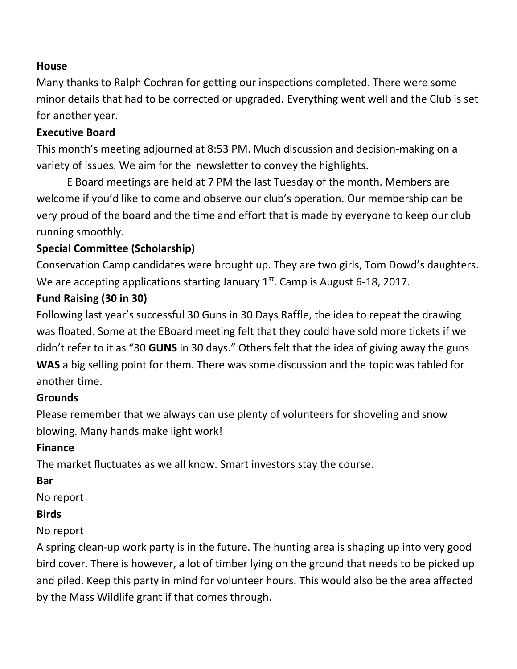#### **House**

Many thanks to Ralph Cochran for getting our inspections completed. There were some minor details that had to be corrected or upgraded. Everything went well and the Club is set for another year.

#### **Executive Board**

This month's meeting adjourned at 8:53 PM. Much discussion and decision-making on a variety of issues. We aim for the newsletter to convey the highlights.

E Board meetings are held at 7 PM the last Tuesday of the month. Members are welcome if you'd like to come and observe our club's operation. Our membership can be very proud of the board and the time and effort that is made by everyone to keep our club running smoothly.

## **Special Committee (Scholarship)**

Conservation Camp candidates were brought up. They are two girls, Tom Dowd's daughters. We are accepting applications starting January 1<sup>st</sup>. Camp is August 6-18, 2017.

# **Fund Raising (30 in 30)**

Following last year's successful 30 Guns in 30 Days Raffle, the idea to repeat the drawing was floated. Some at the EBoard meeting felt that they could have sold more tickets if we didn't refer to it as "30 **GUNS** in 30 days." Others felt that the idea of giving away the guns **WAS** a big selling point for them. There was some discussion and the topic was tabled for another time.

## **Grounds**

Please remember that we always can use plenty of volunteers for shoveling and snow blowing. Many hands make light work!

## **Finance**

The market fluctuates as we all know. Smart investors stay the course.

#### **Bar**

No report

#### **Birds**

## No report

A spring clean-up work party is in the future. The hunting area is shaping up into very good bird cover. There is however, a lot of timber lying on the ground that needs to be picked up and piled. Keep this party in mind for volunteer hours. This would also be the area affected by the Mass Wildlife grant if that comes through.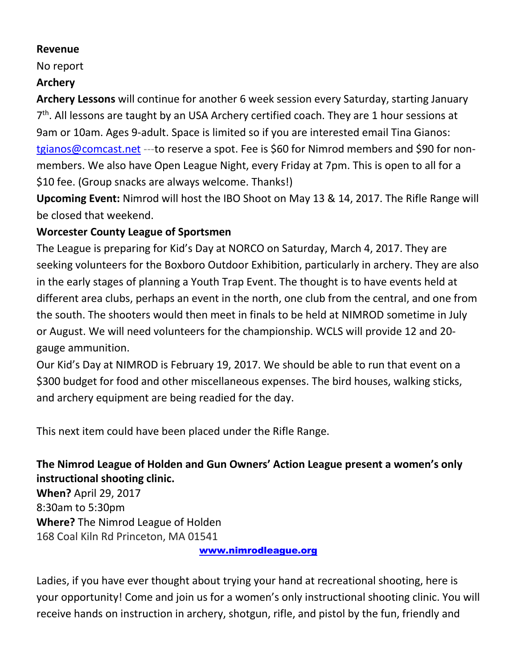#### **Revenue**

No report

## **Archery**

**Archery Lessons** will continue for another 6 week session every Saturday, starting January 7<sup>th</sup>. All lessons are taught by an USA Archery certified coach. They are 1 hour sessions at 9am or 10am. Ages 9-adult. Space is limited so if you are interested email Tina Gianos: [tgianos@comcast.net](mailto:tgianos@comcast.net) ---to reserve a spot. Fee is \$60 for Nimrod members and \$90 for nonmembers. We also have Open League Night, every Friday at 7pm. This is open to all for a \$10 fee. (Group snacks are always welcome. Thanks!)

**Upcoming Event:** Nimrod will host the IBO Shoot on May 13 & 14, 2017. The Rifle Range will be closed that weekend.

## **Worcester County League of Sportsmen**

The League is preparing for Kid's Day at NORCO on Saturday, March 4, 2017. They are seeking volunteers for the Boxboro Outdoor Exhibition, particularly in archery. They are also in the early stages of planning a Youth Trap Event. The thought is to have events held at different area clubs, perhaps an event in the north, one club from the central, and one from the south. The shooters would then meet in finals to be held at NIMROD sometime in July or August. We will need volunteers for the championship. WCLS will provide 12 and 20 gauge ammunition.

Our Kid's Day at NIMROD is February 19, 2017. We should be able to run that event on a \$300 budget for food and other miscellaneous expenses. The bird houses, walking sticks, and archery equipment are being readied for the day.

This next item could have been placed under the Rifle Range.

# **The Nimrod League of Holden and Gun Owners' Action League present a women's only instructional shooting clinic.**

**When?** April 29, 2017 8:30am to 5:30pm **Where?** The Nimrod League of Holden 168 Coal Kiln Rd Princeton, MA 01541

[www.nimrodleague.org](http://www.nimrodleague.org/)

Ladies, if you have ever thought about trying your hand at recreational shooting, here is your opportunity! Come and join us for a women's only instructional shooting clinic. You will receive hands on instruction in archery, shotgun, rifle, and pistol by the fun, friendly and